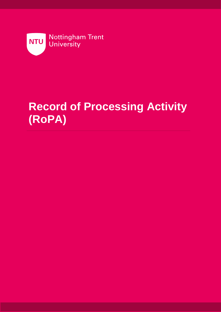

# **Record of Processing Activity (RoPA)**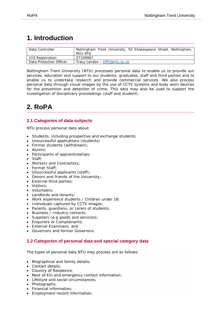# **1. Introduction**

| Data Controller         | Nottingham Trent University, 50 Shakespeare Street, Nottingham,<br>NG1 4FO |
|-------------------------|----------------------------------------------------------------------------|
| ICO Registration        | Z7109967                                                                   |
| Data Protection Officer | Tracy Landon – DPO@ntu.ac.uk                                               |

Nottingham Trent University (NTU) processes personal data to enable us to provide our services, education and support to our students, graduates, staff and third parties and to enable us to undertake research and provide commercial services. We also process personal data through visual images by the use of CCTV systems and body worn devices for the prevention and detection of crime. This data may also be used to support the investigation of disciplinary proceedings (staff and student).

# **2. RoPA**

# **2.1 Categories of data subjects**

NTU process personal data about:

- Students, including prospective and exchange students;
- Unsuccessful applications (students)
- Former students (withdrawn);
- Alumni;
- Participants of apprenticeships;
- Staff;
- Workers and Contractors;
- Former Staff;
- Unsuccessful applicants (staff);
- Donors and friends of the University;
- External third parties;
- Visitors;
- Volunteers;
- Landlords and tenants;
- Work experience students / Children under 18;
- Individuals captured by CCTV images;
- Parents, guardians, or carers of students;
- Business / Industry contacts;
- Suppliers (e.g goods and services);
- Enquirers or Complainants:
- External Examiners; and
- Governors and former Governors.

# **2.2 Categories of personal data and special category data**

The types of personal data NTU may process are as follows:

- Biographical and family details;
- Contact details;
- Country of Residence;
- Next of Kin and emergency contact information;
- Lifestyle and social circumstances;
- Photographs;
- Financial information;
- Employment record information;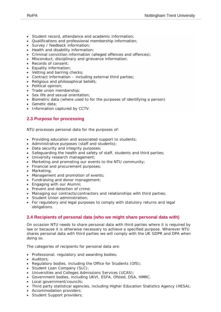- Student record, attendance and academic information;
- Qualifications and professional membership information;
- Survey / feedback information;
- Health and disability information;
- Criminal conviction information (alleged offences and offences);
- Misconduct, disciplinary and grievance information;
- Records of consent;
- Equality information;
- Vetting and barring checks;
- Contract information including external third parties;
- Religious and philosophical beliefs;
- Political opinion;
- Trade union membership;
- Sex life and sexual orientation;
- Biometric data (where used to for the purposes of identifying a person)
- Genetic data;
- Information captured by CCTV.

## **2.3 Purpose for processing**

NTU processes personal data for the purposes of:

- Providing education and associated support to students;
- Administrative purposes (staff and students);
- Data security and integrity purposes;
- Safeguarding the health and safety of staff, students and third parties;
- University research management;
- Marketing and promoting our events to the NTU community;
- Financial and procurement purposes;
- Marketing;
- Management and promotion of events;
- Fundraising and donor management;
- Engaging with our Alumni;
- Prevent and detection of crime;
- Managing our contracts/contractors and relationships with third parties;
- Student Union administration;
- For regulatory and legal purposes to comply with statutory returns and legal obligations.

## **2.4 Recipients of personal data (who we might share personal data with)**

On occasion NTU needs to share personal data with third parties where it is required by law or because it is otherwise necessary to achieve a specified purpose. Wherever NTU shares personal data with third parties we will comply with the UK GDPR and DPA when doing so.

The categories of recipients for personal data are:

- Professional, regulatory and awarding bodies;
- Auditors;
- Regulatory bodies, including the Office for Students (OfS);
- Student Loan Company (SLC);
- Universities and Colleges Admissions Services (UCAS);
- Government bodies, including UKVI, ESFA, Ofsted, DSA, HMRC.
- Local government/councils;
- Third party statistical agencies, including Higher Education Statistics Agency (HESA);
- Accommodation providers;
- Student Support providers;